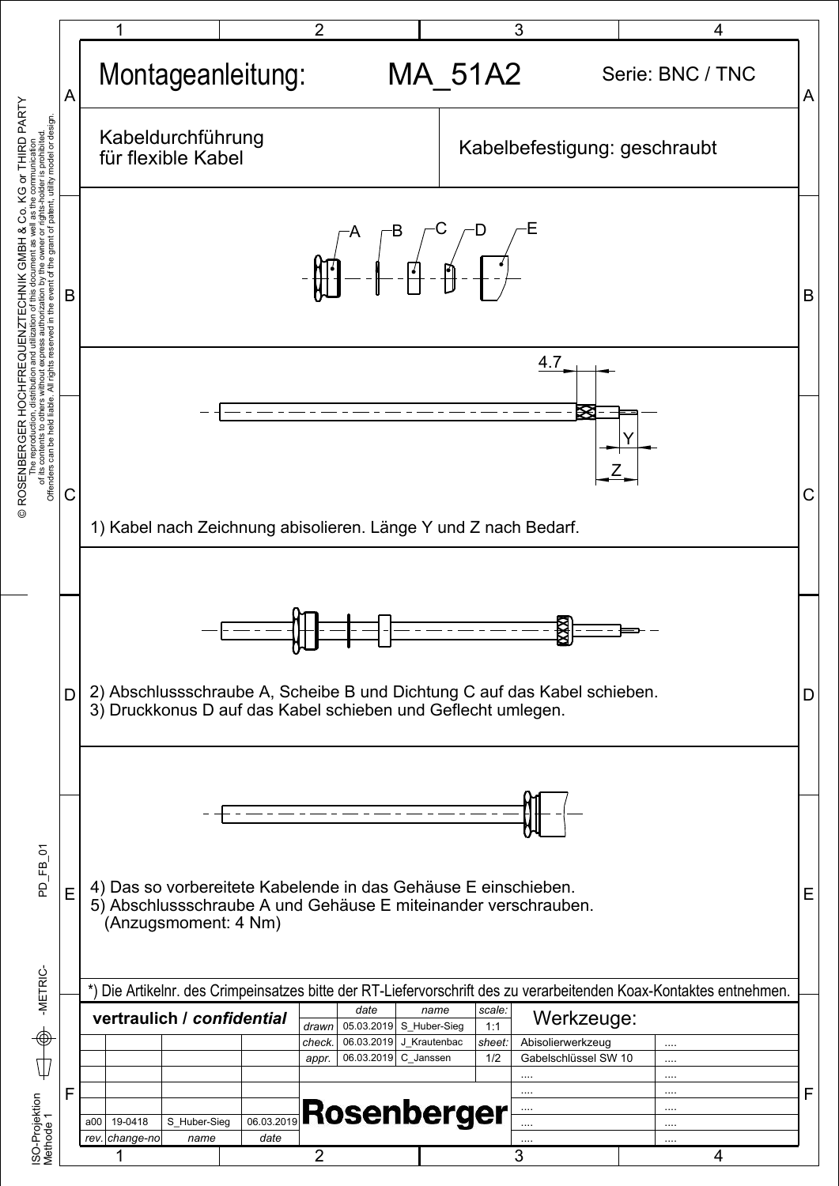